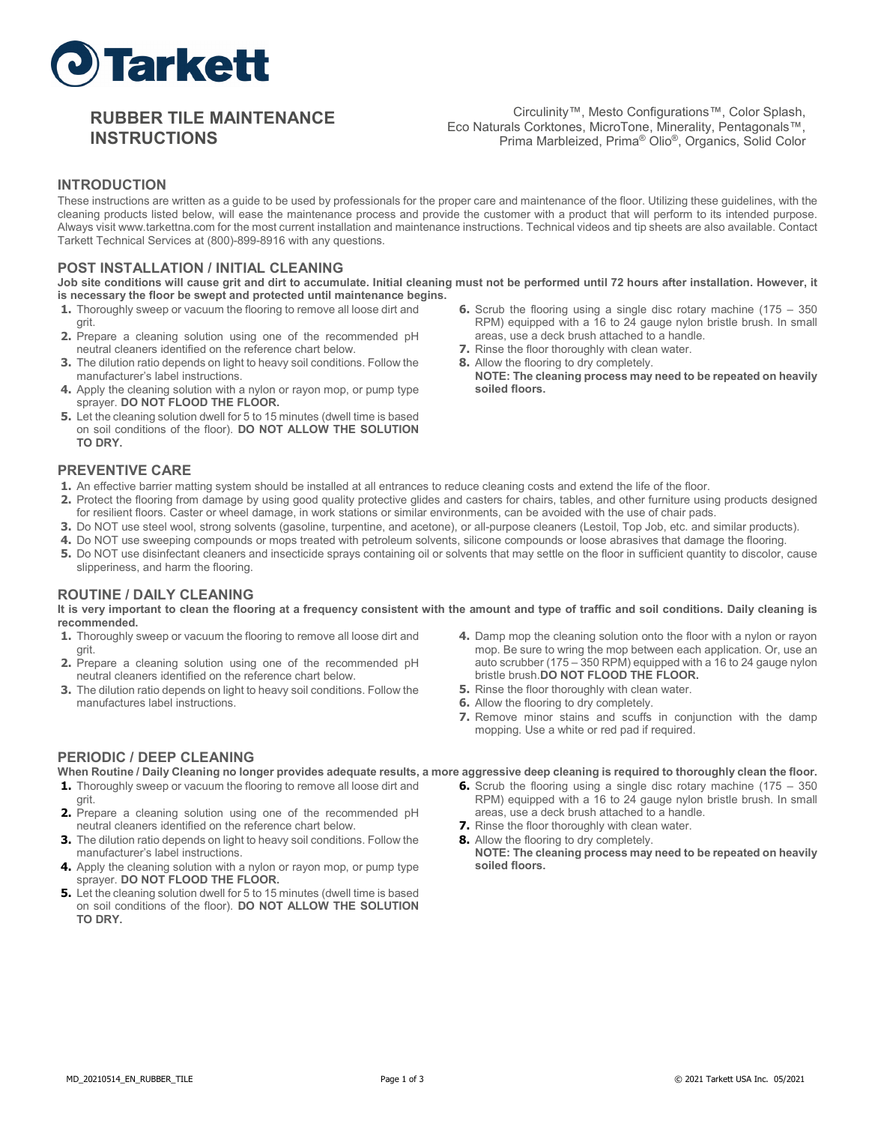

# **RUBBER TILE MAINTENANCE INSTRUCTIONS**

Circulinity™, Mesto Configurations™, Color Splash, Eco Naturals Corktones, MicroTone, Minerality, Pentagonals™, Prima Marbleized, Prima® Olio®, Organics, Solid Color

### **INTRODUCTION**

These instructions are written as a guide to be used by professionals for the proper care and maintenance of the floor. Utilizing these guidelines, with the cleaning products listed below, will ease the maintenance process and provide the customer with a product that will perform to its intended purpose. Always visit www.tarkettna.com for the most current installation and maintenance instructions. Technical videos and tip sheets are also available. Contact Tarkett Technical Services at (800)-899-8916 with any questions.

### **POST INSTALLATION / INITIAL CLEANING**

**Job site conditions will cause grit and dirt to accumulate. Initial cleaning must not be performed until 72 hours after installation. However, it is necessary the floor be swept and protected until maintenance begins.**

- **1.** Thoroughly sweep or vacuum the flooring to remove all loose dirt and grit.
- **2.** Prepare a cleaning solution using one of the recommended pH neutral cleaners identified on the reference chart below.
- **3.** The dilution ratio depends on light to heavy soil conditions. Follow the manufacturer's label instructions.
- **4.** Apply the cleaning solution with a nylon or rayon mop, or pump type sprayer. **DO NOT FLOOD THE FLOOR.**
- **5.** Let the cleaning solution dwell for 5 to 15 minutes (dwell time is based on soil conditions of the floor). **DO NOT ALLOW THE SOLUTION TO DRY.**
	-

## **PREVENTIVE CARE**

- **1.** An effective barrier matting system should be installed at all entrances to reduce cleaning costs and extend the life of the floor.
- **2.** Protect the flooring from damage by using good quality protective glides and casters for chairs, tables, and other furniture using products designed for resilient floors. Caster or wheel damage, in work stations or similar environments, can be avoided with the use of chair pads.
- **3.** Do NOT use steel wool, strong solvents (gasoline, turpentine, and acetone), or all-purpose cleaners (Lestoil, Top Job, etc. and similar products).
- **4.** Do NOT use sweeping compounds or mops treated with petroleum solvents, silicone compounds or loose abrasives that damage the flooring.
- **5.** Do NOT use disinfectant cleaners and insecticide sprays containing oil or solvents that may settle on the floor in sufficient quantity to discolor, cause slipperiness, and harm the flooring.

#### **ROUTINE / DAILY CLEANING**

#### **It is very important to clean the flooring at a frequency consistent with the amount and type of traffic and soil conditions. Daily cleaning is recommended.**

- **1.** Thoroughly sweep or vacuum the flooring to remove all loose dirt and grit.
- **2.** Prepare a cleaning solution using one of the recommended pH neutral cleaners identified on the reference chart below.
- **3.** The dilution ratio depends on light to heavy soil conditions. Follow the manufactures label instructions.
- **4.** Damp mop the cleaning solution onto the floor with a nylon or rayon mop. Be sure to wring the mop between each application. Or, use an auto scrubber (175 – 350 RPM) equipped with a 16 to 24 gauge nylon bristle brush.**DO NOT FLOOD THE FLOOR.**
- **5.** Rinse the floor thoroughly with clean water.
- **6.** Allow the flooring to dry completely.
- **7.** Remove minor stains and scuffs in conjunction with the damp mopping. Use a white or red pad if required.

## **PERIODIC / DEEP CLEANING**

- **1.** Thoroughly sweep or vacuum the flooring to remove all loose dirt and grit.
- **2.** Prepare a cleaning solution using one of the recommended pH neutral cleaners identified on the reference chart below.
- **3.** The dilution ratio depends on light to heavy soil conditions. Follow the manufacturer's label instructions.
- **4.** Apply the cleaning solution with a nylon or rayon mop, or pump type sprayer. **DO NOT FLOOD THE FLOOR.**
- **5.** Let the cleaning solution dwell for 5 to 15 minutes (dwell time is based on soil conditions of the floor). **DO NOT ALLOW THE SOLUTION TO DRY.**
- **When Routine / Daily Cleaning no longer provides adequate results, a more aggressive deep cleaning is required to thoroughly clean the floor.**
	- **6.** Scrub the flooring using a single disc rotary machine (175 350) RPM) equipped with a 16 to 24 gauge nylon bristle brush. In small areas, use a deck brush attached to a handle.
	- **7.** Rinse the floor thoroughly with clean water.
	- **8.** Allow the flooring to dry completely. **NOTE: The cleaning process may need to be repeated on heavily soiled floors.**
- **6.** Scrub the flooring using a single disc rotary machine (175 350 RPM) equipped with a 16 to 24 gauge nylon bristle brush. In small areas, use a deck brush attached to a handle. **7.** Rinse the floor thoroughly with clean water.
- **8.** Allow the flooring to dry completely.
- **NOTE: The cleaning process may need to be repeated on heavily soiled floors.**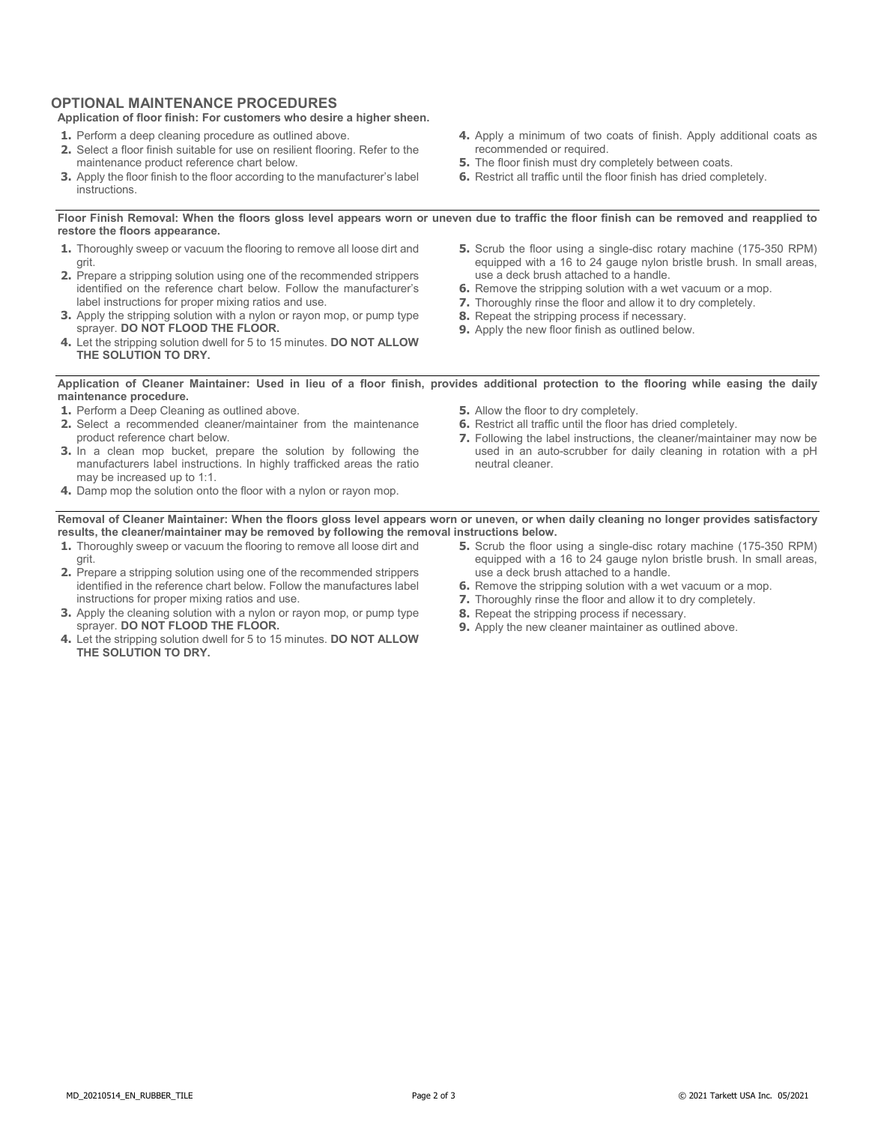## **OPTIONAL MAINTENANCE PROCEDURES**

#### **Application of floor finish: For customers who desire a higher sheen.**

- **1.** Perform a deep cleaning procedure as outlined above.
- **2.** Select a floor finish suitable for use on resilient flooring. Refer to the maintenance product reference chart below.
- **3.** Apply the floor finish to the floor according to the manufacturer's label instructions.

**Floor Finish Removal: When the floors gloss level appears worn or uneven due to traffic the floor finish can be removed and reapplied to** 

- **1.** Thoroughly sweep or vacuum the flooring to remove all loose dirt and grit.
- **2.** Prepare a stripping solution using one of the recommended strippers identified on the reference chart below. Follow the manufacturer's label instructions for proper mixing ratios and use.
- **3.** Apply the stripping solution with a nylon or rayon mop, or pump type sprayer. **DO NOT FLOOD THE FLOOR.**
- **4.** Let the stripping solution dwell for 5 to 15 minutes. **DO NOT ALLOW THE SOLUTION TO DRY.**
- **4.** Apply a minimum of two coats of finish. Apply additional coats as recommended or required. **5.** The floor finish must dry completely between coats.
- **6.** Restrict all traffic until the floor finish has dried completely.

**restore the floors appearance.**

- **5.** Scrub the floor using a single-disc rotary machine (175-350 RPM) equipped with a 16 to 24 gauge nylon bristle brush. In small areas, use a deck brush attached to a handle.
- **6.** Remove the stripping solution with a wet vacuum or a mop.
- **7.** Thoroughly rinse the floor and allow it to dry completely.
- **8.** Repeat the stripping process if necessary.
- **9.** Apply the new floor finish as outlined below.

#### **Application of Cleaner Maintainer: Used in lieu of a floor finish, provides additional protection to the flooring while easing the daily maintenance procedure.**

- **1.** Perform a Deep Cleaning as outlined above.
- **2.** Select a recommended cleaner/maintainer from the maintenance product reference chart below.
- **3.** In a clean mop bucket, prepare the solution by following the manufacturers label instructions. In highly trafficked areas the ratio may be increased up to 1:1.
- **4.** Damp mop the solution onto the floor with a nylon or rayon mop.
- **5.** Allow the floor to dry completely.
- **6.** Restrict all traffic until the floor has dried completely.
- **7.** Following the label instructions, the cleaner/maintainer may now be used in an auto-scrubber for daily cleaning in rotation with a pH neutral cleaner.

**Removal of Cleaner Maintainer: When the floors gloss level appears worn or uneven, or when daily cleaning no longer provides satisfactory results, the cleaner/maintainer may be removed by following the removal instructions below.**

- **1.** Thoroughly sweep or vacuum the flooring to remove all loose dirt and grit.
- **2.** Prepare a stripping solution using one of the recommended strippers identified in the reference chart below. Follow the manufactures label instructions for proper mixing ratios and use.
- **3.** Apply the cleaning solution with a nylon or rayon mop, or pump type sprayer. **DO NOT FLOOD THE FLOOR.**
- **4.** Let the stripping solution dwell for 5 to 15 minutes. **DO NOT ALLOW THE SOLUTION TO DRY.**
- **5.** Scrub the floor using a single-disc rotary machine (175-350 RPM) equipped with a 16 to 24 gauge nylon bristle brush. In small areas, use a deck brush attached to a handle.
- **6.** Remove the stripping solution with a wet vacuum or a mop.
- **7.** Thoroughly rinse the floor and allow it to dry completely.
- **8.** Repeat the stripping process if necessary.
- **9.** Apply the new cleaner maintainer as outlined above.